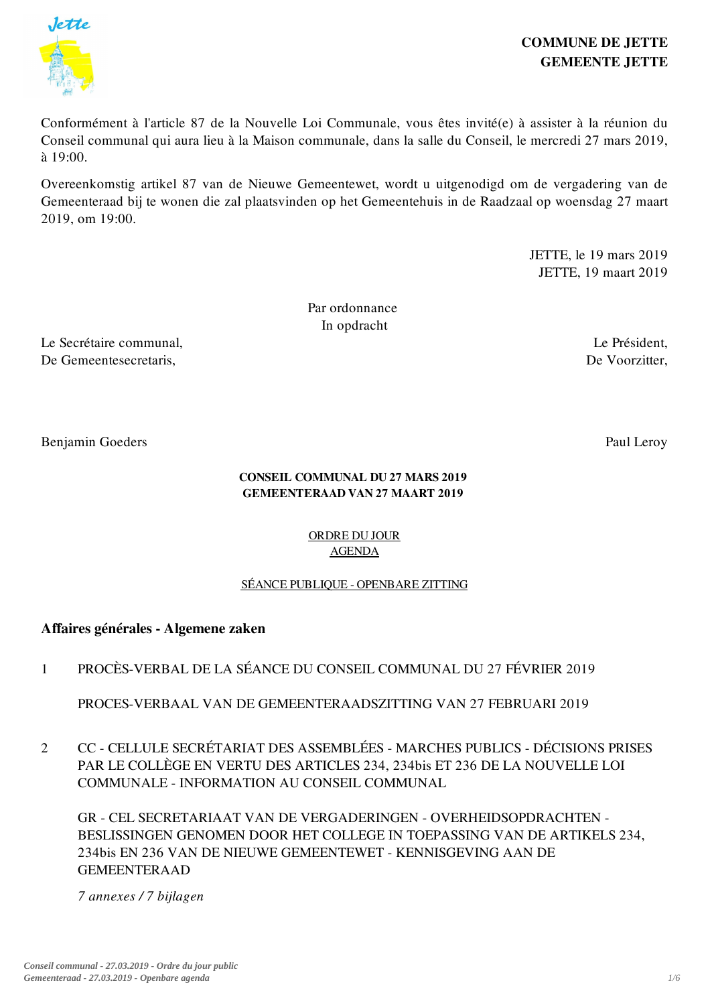

# COMMUNE DE JETTE GEMEENTE JETTE

Conformément à l'article 87 de la Nouvelle Loi Communale, vous êtes invité(e) à assister à la réunion du Conseil communal qui aura lieu à la Maison communale, dans la salle du Conseil, le mercredi 27 mars 2019, à 19:00.

Overeenkomstig artikel 87 van de Nieuwe Gemeentewet, wordt u uitgenodigd om de vergadering van de Gemeenteraad bij te wonen die zal plaatsvinden op het Gemeentehuis in de Raadzaal op woensdag 27 maart 2019, om 19:00.

> JETTE, le 19 mars 2019 JETTE, 19 maart 2019

Par ordonnance In opdracht

Le Secrétaire communal, De Gemeentesecretaris,

Benjamin Goeders

Paul Leroy

Le Président, De Voorzitter,

### CONSEIL COMMUNAL DU 27 MARS 2019 GEMEENTERAAD VAN 27 MAART 2019

## ORDRE DU JOUR AGENDA

# SÉANCE PUBLIQUE - OPENBARE ZITTING

# Affaires générales - Algemene zaken

1 PROCÈS-VERBAL DE LA SÉANCE DU CONSEIL COMMUNAL DU 27 FÉVRIER 2019

PROCES-VERBAAL VAN DE GEMEENTERAADSZITTING VAN 27 FEBRUARI 2019

 $\mathcal{L}$ CC - CELLULE SECRÉTARIAT DES ASSEMBLÉES - MARCHES PUBLICS - DÉCISIONS PRISES PAR LE COLLÈGE EN VERTU DES ARTICLES 234, 234bis ET 236 DE LA NOUVELLE LOI COMMUNALE - INFORMATION AU CONSEIL COMMUNAL

GR - CEL SECRETARIAAT VAN DE VERGADERINGEN - OVERHEIDSOPDRACHTEN - BESLISSINGEN GENOMEN DOOR HET COLLEGE IN TOEPASSING VAN DE ARTIKELS 234, 234bis EN 236 VAN DE NIEUWE GEMEENTEWET - KENNISGEVING AAN DE GEMEENTERAAD

*7 annexes / 7 bijlagen*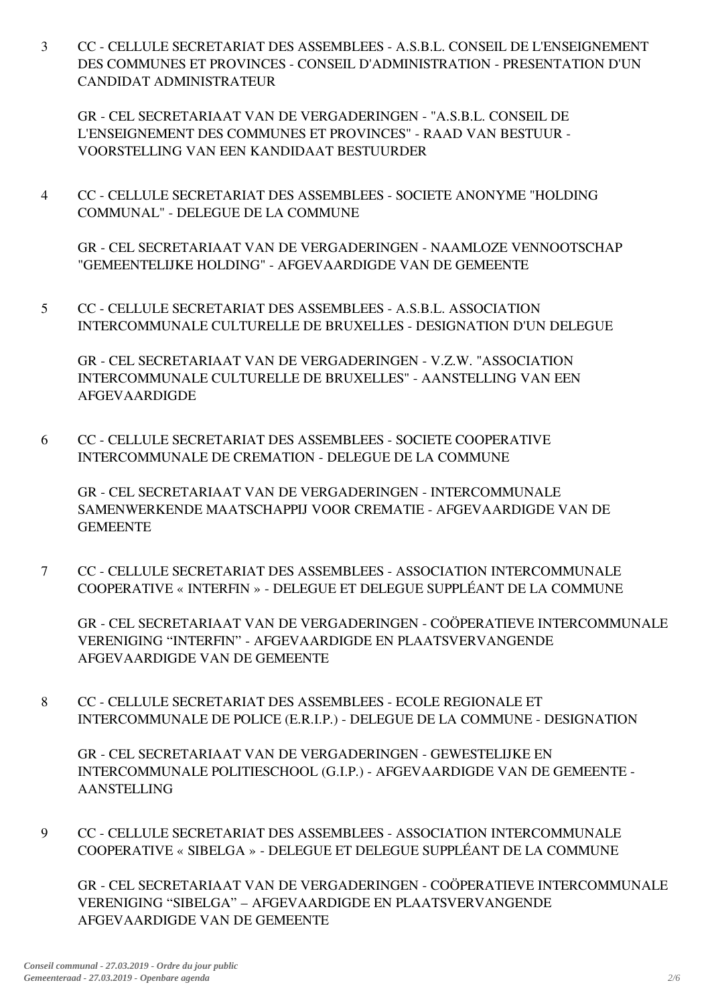3 CC - CELLULE SECRETARIAT DES ASSEMBLEES - A.S.B.L. CONSEIL DE L'ENSEIGNEMENT DES COMMUNES ET PROVINCES - CONSEIL D'ADMINISTRATION - PRESENTATION D'UN CANDIDAT ADMINISTRATEUR

GR - CEL SECRETARIAAT VAN DE VERGADERINGEN - "A.S.B.L. CONSEIL DE L'ENSEIGNEMENT DES COMMUNES ET PROVINCES" - RAAD VAN BESTUUR - VOORSTELLING VAN EEN KANDIDAAT BESTUURDER

4 CC - CELLULE SECRETARIAT DES ASSEMBLEES - SOCIETE ANONYME "HOLDING COMMUNAL" - DELEGUE DE LA COMMUNE

GR - CEL SECRETARIAAT VAN DE VERGADERINGEN - NAAMLOZE VENNOOTSCHAP "GEMEENTELIJKE HOLDING" - AFGEVAARDIGDE VAN DE GEMEENTE

5 CC - CELLULE SECRETARIAT DES ASSEMBLEES - A.S.B.L. ASSOCIATION INTERCOMMUNALE CULTURELLE DE BRUXELLES - DESIGNATION D'UN DELEGUE

GR - CEL SECRETARIAAT VAN DE VERGADERINGEN - V.Z.W. "ASSOCIATION INTERCOMMUNALE CULTURELLE DE BRUXELLES" - AANSTELLING VAN EEN AFGEVAARDIGDE

6 CC - CELLULE SECRETARIAT DES ASSEMBLEES - SOCIETE COOPERATIVE INTERCOMMUNALE DE CREMATION - DELEGUE DE LA COMMUNE

GR - CEL SECRETARIAAT VAN DE VERGADERINGEN - INTERCOMMUNALE SAMENWERKENDE MAATSCHAPPIJ VOOR CREMATIE - AFGEVAARDIGDE VAN DE **GEMEENTE** 

7 CC - CELLULE SECRETARIAT DES ASSEMBLEES - ASSOCIATION INTERCOMMUNALE COOPERATIVE « INTERFIN » - DELEGUE ET DELEGUE SUPPLÉANT DE LA COMMUNE

GR - CEL SECRETARIAAT VAN DE VERGADERINGEN - COÖPERATIEVE INTERCOMMUNALE VERENIGING "INTERFIN" - AFGEVAARDIGDE EN PLAATSVERVANGENDE AFGEVAARDIGDE VAN DE GEMEENTE

8 CC - CELLULE SECRETARIAT DES ASSEMBLEES - ECOLE REGIONALE ET INTERCOMMUNALE DE POLICE (E.R.I.P.) - DELEGUE DE LA COMMUNE - DESIGNATION

GR - CEL SECRETARIAAT VAN DE VERGADERINGEN - GEWESTELIJKE EN INTERCOMMUNALE POLITIESCHOOL (G.I.P.) - AFGEVAARDIGDE VAN DE GEMEENTE - AANSTELLING

9 CC - CELLULE SECRETARIAT DES ASSEMBLEES - ASSOCIATION INTERCOMMUNALE COOPERATIVE « SIBELGA » - DELEGUE ET DELEGUE SUPPLÉANT DE LA COMMUNE

GR - CEL SECRETARIAAT VAN DE VERGADERINGEN - COÖPERATIEVE INTERCOMMUNALE VERENIGING "SIBELGA" – AFGEVAARDIGDE EN PLAATSVERVANGENDE AFGEVAARDIGDE VAN DE GEMEENTE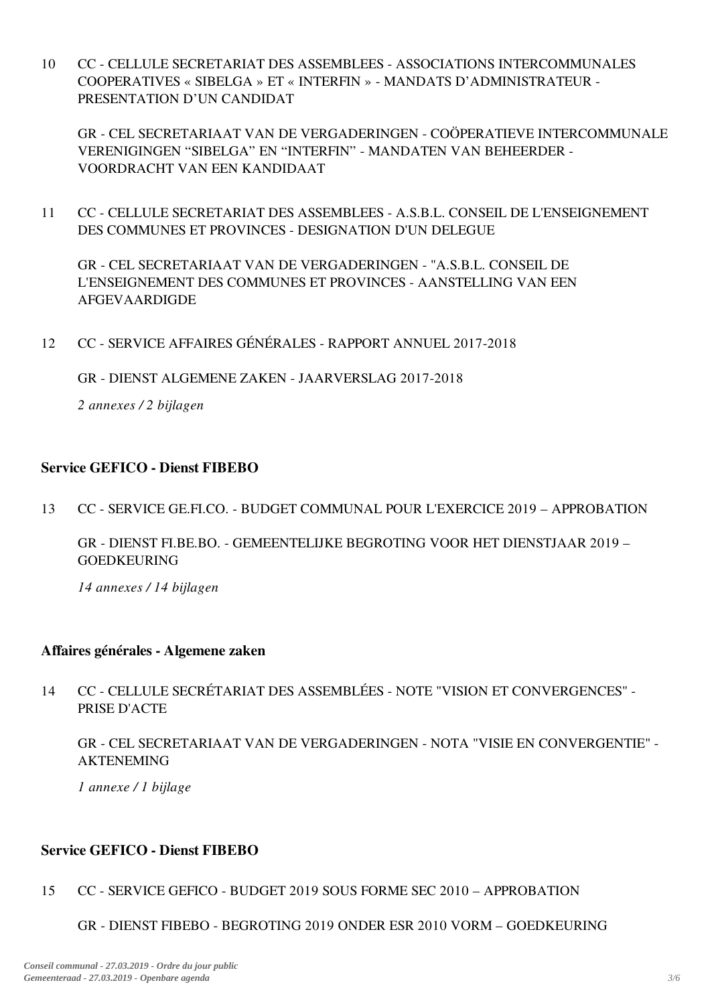10 CC - CELLULE SECRETARIAT DES ASSEMBLEES - ASSOCIATIONS INTERCOMMUNALES COOPERATIVES « SIBELGA » ET « INTERFIN » - MANDATS D'ADMINISTRATEUR - PRESENTATION D'UN CANDIDAT

GR - CEL SECRETARIAAT VAN DE VERGADERINGEN - COÖPERATIEVE INTERCOMMUNALE VERENIGINGEN "SIBELGA" EN "INTERFIN" - MANDATEN VAN BEHEERDER - VOORDRACHT VAN EEN KANDIDAAT

11 CC - CELLULE SECRETARIAT DES ASSEMBLEES - A.S.B.L. CONSEIL DE L'ENSEIGNEMENT DES COMMUNES ET PROVINCES - DESIGNATION D'UN DELEGUE

GR - CEL SECRETARIAAT VAN DE VERGADERINGEN - "A.S.B.L. CONSEIL DE L'ENSEIGNEMENT DES COMMUNES ET PROVINCES - AANSTELLING VAN EEN AFGEVAARDIGDE

12 CC - SERVICE AFFAIRES GÉNÉRALES - RAPPORT ANNUEL 2017-2018

GR - DIENST ALGEMENE ZAKEN - JAARVERSLAG 2017-2018

*2 annexes / 2 bijlagen*

## Service GEFICO - Dienst FIBEBO

13 CC - SERVICE GE.FI.CO. - BUDGET COMMUNAL POUR L'EXERCICE 2019 – APPROBATION

GR - DIENST FI.BE.BO. - GEMEENTELIJKE BEGROTING VOOR HET DIENSTJAAR 2019 – GOEDKEURING

*14 annexes / 14 bijlagen*

### Affaires générales - Algemene zaken

14 CC - CELLULE SECRÉTARIAT DES ASSEMBLÉES - NOTE "VISION ET CONVERGENCES" - PRISE D'ACTE

GR - CEL SECRETARIAAT VAN DE VERGADERINGEN - NOTA "VISIE EN CONVERGENTIE" - AKTENEMING

*1 annexe / 1 bijlage*

## Service GEFICO - Dienst FIBEBO

- 15 CC - SERVICE GEFICO - BUDGET 2019 SOUS FORME SEC 2010 – APPROBATION
	- GR DIENST FIBEBO BEGROTING 2019 ONDER ESR 2010 VORM GOEDKEURING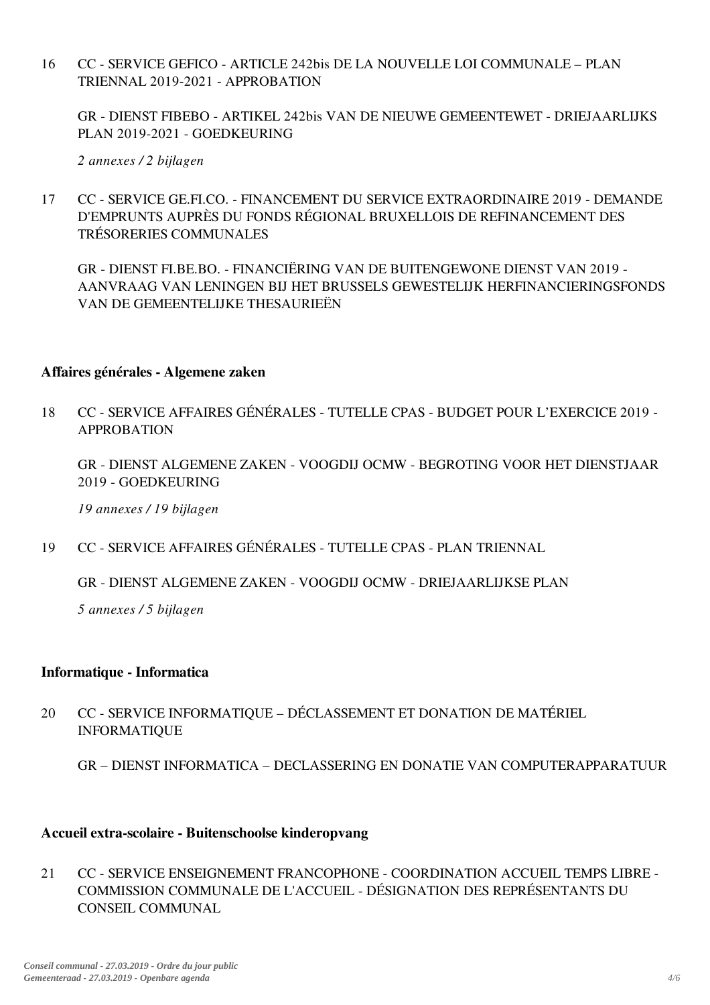16 CC - SERVICE GEFICO - ARTICLE 242bis DE LA NOUVELLE LOI COMMUNALE – PLAN TRIENNAL 2019-2021 - APPROBATION

GR - DIENST FIBEBO - ARTIKEL 242bis VAN DE NIEUWE GEMEENTEWET - DRIEJAARLIJKS PLAN 2019-2021 - GOEDKEURING

*2 annexes / 2 bijlagen*

17 CC - SERVICE GE.FI.CO. - FINANCEMENT DU SERVICE EXTRAORDINAIRE 2019 - DEMANDE D'EMPRUNTS AUPRÈS DU FONDS RÉGIONAL BRUXELLOIS DE REFINANCEMENT DES TRÉSORERIES COMMUNALES

GR - DIENST FI.BE.BO. - FINANCIËRING VAN DE BUITENGEWONE DIENST VAN 2019 - AANVRAAG VAN LENINGEN BIJ HET BRUSSELS GEWESTELIJK HERFINANCIERINGSFONDS VAN DE GEMEENTELIJKE THESAURIEËN

### Affaires générales - Algemene zaken

18 CC - SERVICE AFFAIRES GÉNÉRALES - TUTELLE CPAS - BUDGET POUR L'EXERCICE 2019 - **APPROBATION** 

GR - DIENST ALGEMENE ZAKEN - VOOGDIJ OCMW - BEGROTING VOOR HET DIENSTJAAR 2019 - GOEDKEURING

*19 annexes / 19 bijlagen*

19 CC - SERVICE AFFAIRES GÉNÉRALES - TUTELLE CPAS - PLAN TRIENNAL

GR - DIENST ALGEMENE ZAKEN - VOOGDIJ OCMW - DRIEJAARLIJKSE PLAN

*5 annexes / 5 bijlagen*

## Informatique - Informatica

20 CC - SERVICE INFORMATIQUE – DÉCLASSEMENT ET DONATION DE MATÉRIEL INFORMATIQUE

GR – DIENST INFORMATICA – DECLASSERING EN DONATIE VAN COMPUTERAPPARATUUR

### Accueil extra-scolaire - Buitenschoolse kinderopvang

21 CC - SERVICE ENSEIGNEMENT FRANCOPHONE - COORDINATION ACCUEIL TEMPS LIBRE - COMMISSION COMMUNALE DE L'ACCUEIL - DÉSIGNATION DES REPRÉSENTANTS DU CONSEIL COMMUNAL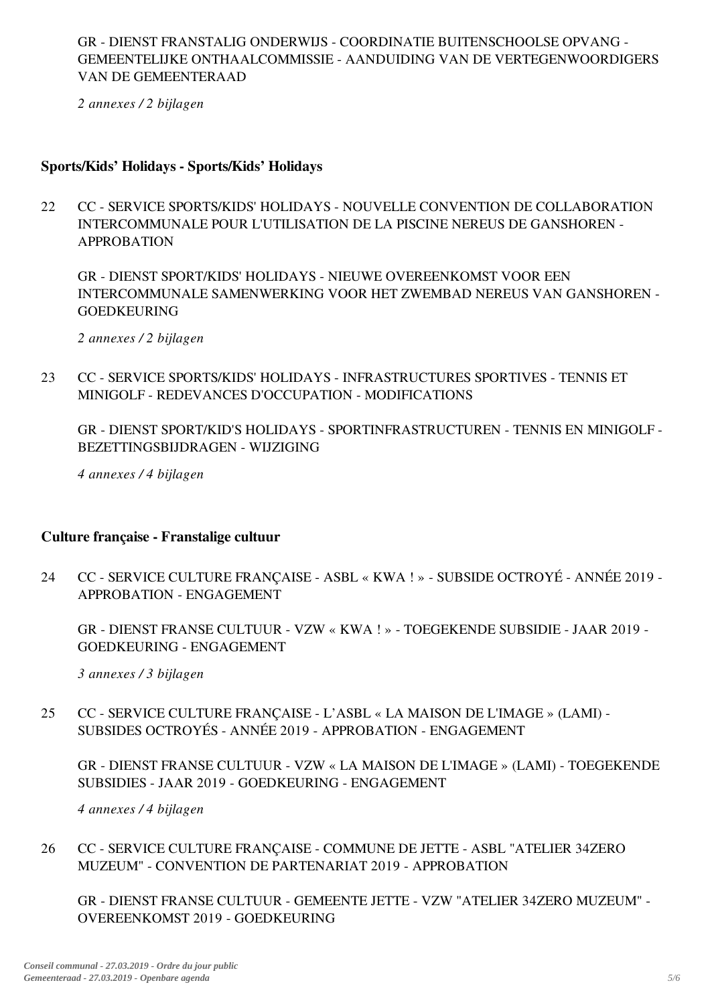GR - DIENST FRANSTALIG ONDERWIJS - COORDINATIE BUITENSCHOOLSE OPVANG - GEMEENTELIJKE ONTHAALCOMMISSIE - AANDUIDING VAN DE VERTEGENWOORDIGERS VAN DE GEMEENTERAAD

*2 annexes / 2 bijlagen*

## Sports/Kids' Holidays - Sports/Kids' Holidays

22 CC - SERVICE SPORTS/KIDS' HOLIDAYS - NOUVELLE CONVENTION DE COLLABORATION INTERCOMMUNALE POUR L'UTILISATION DE LA PISCINE NEREUS DE GANSHOREN - APPROBATION

GR - DIENST SPORT/KIDS' HOLIDAYS - NIEUWE OVEREENKOMST VOOR EEN INTERCOMMUNALE SAMENWERKING VOOR HET ZWEMBAD NEREUS VAN GANSHOREN - GOEDKEURING

*2 annexes / 2 bijlagen*

23 CC - SERVICE SPORTS/KIDS' HOLIDAYS - INFRASTRUCTURES SPORTIVES - TENNIS ET MINIGOLF - REDEVANCES D'OCCUPATION - MODIFICATIONS

GR - DIENST SPORT/KID'S HOLIDAYS - SPORTINFRASTRUCTUREN - TENNIS EN MINIGOLF - BEZETTINGSBIJDRAGEN - WIJZIGING

*4 annexes / 4 bijlagen*

## Culture française - Franstalige cultuur

24 CC - SERVICE CULTURE FRANÇAISE - ASBL « KWA ! » - SUBSIDE OCTROYÉ - ANNÉE 2019 - APPROBATION - ENGAGEMENT

GR - DIENST FRANSE CULTUUR - VZW « KWA ! » - TOEGEKENDE SUBSIDIE - JAAR 2019 - GOEDKEURING - ENGAGEMENT

*3 annexes / 3 bijlagen*

25 CC - SERVICE CULTURE FRANÇAISE - L'ASBL « LA MAISON DE L'IMAGE » (LAMI) - SUBSIDES OCTROYÉS - ANNÉE 2019 - APPROBATION - ENGAGEMENT

GR - DIENST FRANSE CULTUUR - VZW « LA MAISON DE L'IMAGE » (LAMI) - TOEGEKENDE SUBSIDIES - JAAR 2019 - GOEDKEURING - ENGAGEMENT

*4 annexes / 4 bijlagen*

26 CC - SERVICE CULTURE FRANÇAISE - COMMUNE DE JETTE - ASBL "ATELIER 34ZERO MUZEUM" - CONVENTION DE PARTENARIAT 2019 - APPROBATION

GR - DIENST FRANSE CULTUUR - GEMEENTE JETTE - VZW "ATELIER 34ZERO MUZEUM" - OVEREENKOMST 2019 - GOEDKEURING